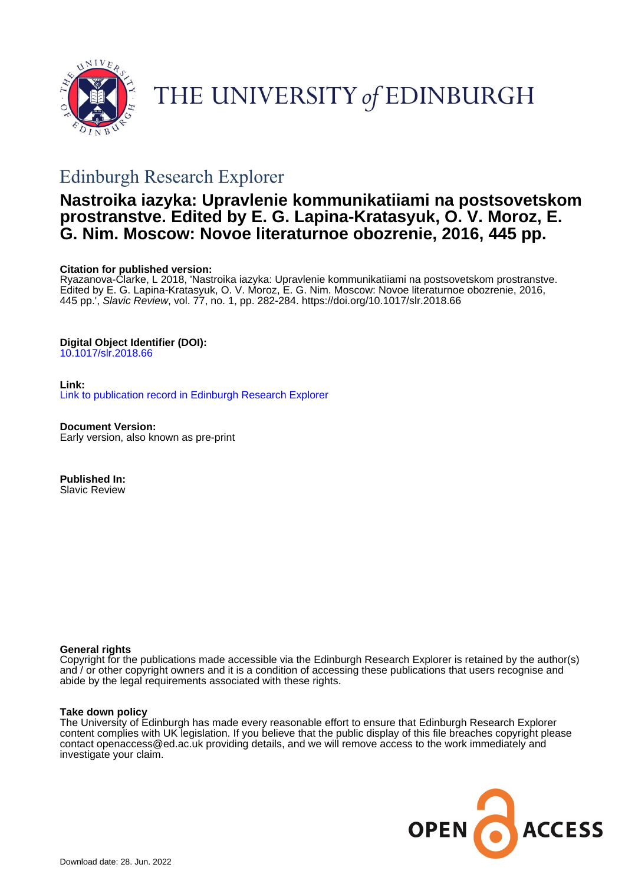



# Edinburgh Research Explorer

# **Nastroika iazyka: Upravlenie kommunikatiiami na postsovetskom prostranstve. Edited by E. G. Lapina-Kratasyuk, O. V. Moroz, E. G. Nim. Moscow: Novoe literaturnoe obozrenie, 2016, 445 pp.**

## **Citation for published version:**

Ryazanova-Clarke, L 2018, 'Nastroika iazyka: Upravlenie kommunikatiiami na postsovetskom prostranstve. Edited by E. G. Lapina-Kratasyuk, O. V. Moroz, E. G. Nim. Moscow: Novoe literaturnoe obozrenie, 2016, 445 pp.', Slavic Review, vol. 77, no. 1, pp. 282-284.<https://doi.org/10.1017/slr.2018.66>

## **Digital Object Identifier (DOI):**

[10.1017/slr.2018.66](https://doi.org/10.1017/slr.2018.66)

**Link:** [Link to publication record in Edinburgh Research Explorer](https://www.research.ed.ac.uk/en/publications/ce56c63a-fdc3-4216-bc24-02dc0a68439a)

**Document Version:** Early version, also known as pre-print

**Published In:** Slavic Review

#### **General rights**

Copyright for the publications made accessible via the Edinburgh Research Explorer is retained by the author(s) and / or other copyright owners and it is a condition of accessing these publications that users recognise and abide by the legal requirements associated with these rights.

#### **Take down policy**

The University of Edinburgh has made every reasonable effort to ensure that Edinburgh Research Explorer content complies with UK legislation. If you believe that the public display of this file breaches copyright please contact openaccess@ed.ac.uk providing details, and we will remove access to the work immediately and investigate your claim.

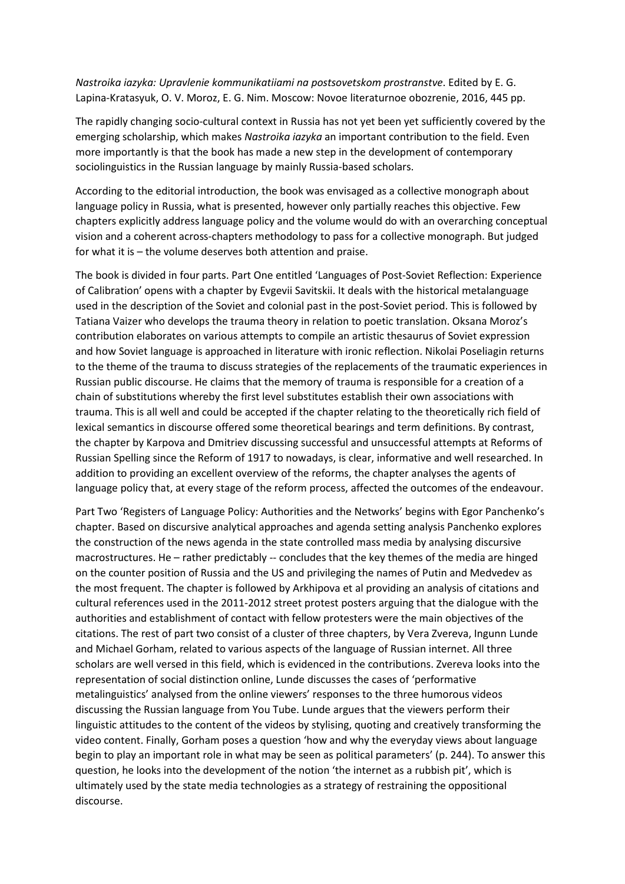*Nastroika iazyka: Upravlenie kommunikatiiami na postsovetskom prostranstve*. Edited by E. G. Lapina-Kratasyuk, O. V. Moroz, E. G. Nim. Moscow: Novoe literaturnoe obozrenie, 2016, 445 pp.

The rapidly changing socio-cultural context in Russia has not yet been yet sufficiently covered by the emerging scholarship, which makes *Nastroika iazyka* an important contribution to the field. Even more importantly is that the book has made a new step in the development of contemporary sociolinguistics in the Russian language by mainly Russia-based scholars.

According to the editorial introduction, the book was envisaged as a collective monograph about language policy in Russia, what is presented, however only partially reaches this objective. Few chapters explicitly address language policy and the volume would do with an overarching conceptual vision and a coherent across-chapters methodology to pass for a collective monograph. But judged for what it is – the volume deserves both attention and praise.

The book is divided in four parts. Part One entitled 'Languages of Post-Soviet Reflection: Experience of Calibration' opens with a chapter by Evgevii Savitskii. It deals with the historical metalanguage used in the description of the Soviet and colonial past in the post-Soviet period. This is followed by Tatiana Vaizer who develops the trauma theory in relation to poetic translation. Oksana Moroz's contribution elaborates on various attempts to compile an artistic thesaurus of Soviet expression and how Soviet language is approached in literature with ironic reflection. Nikolai Poseliagin returns to the theme of the trauma to discuss strategies of the replacements of the traumatic experiences in Russian public discourse. He claims that the memory of trauma is responsible for a creation of a chain of substitutions whereby the first level substitutes establish their own associations with trauma. This is all well and could be accepted if the chapter relating to the theoretically rich field of lexical semantics in discourse offered some theoretical bearings and term definitions. By contrast, the chapter by Karpova and Dmitriev discussing successful and unsuccessful attempts at Reforms of Russian Spelling since the Reform of 1917 to nowadays, is clear, informative and well researched. In addition to providing an excellent overview of the reforms, the chapter analyses the agents of language policy that, at every stage of the reform process, affected the outcomes of the endeavour.

Part Two 'Registers of Language Policy: Authorities and the Networks' begins with Egor Panchenko's chapter. Based on discursive analytical approaches and agenda setting analysis Panchenko explores the construction of the news agenda in the state controlled mass media by analysing discursive macrostructures. He – rather predictably -- concludes that the key themes of the media are hinged on the counter position of Russia and the US and privileging the names of Putin and Medvedev as the most frequent. The chapter is followed by Arkhipova et al providing an analysis of citations and cultural references used in the 2011-2012 street protest posters arguing that the dialogue with the authorities and establishment of contact with fellow protesters were the main objectives of the citations. The rest of part two consist of a cluster of three chapters, by Vera Zvereva, Ingunn Lunde and Michael Gorham, related to various aspects of the language of Russian internet. All three scholars are well versed in this field, which is evidenced in the contributions. Zvereva looks into the representation of social distinction online, Lunde discusses the cases of 'performative metalinguistics' analysed from the online viewers' responses to the three humorous videos discussing the Russian language from You Tube. Lunde argues that the viewers perform their linguistic attitudes to the content of the videos by stylising, quoting and creatively transforming the video content. Finally, Gorham poses a question 'how and why the everyday views about language begin to play an important role in what may be seen as political parameters' (p. 244). To answer this question, he looks into the development of the notion 'the internet as a rubbish pit', which is ultimately used by the state media technologies as a strategy of restraining the oppositional discourse.